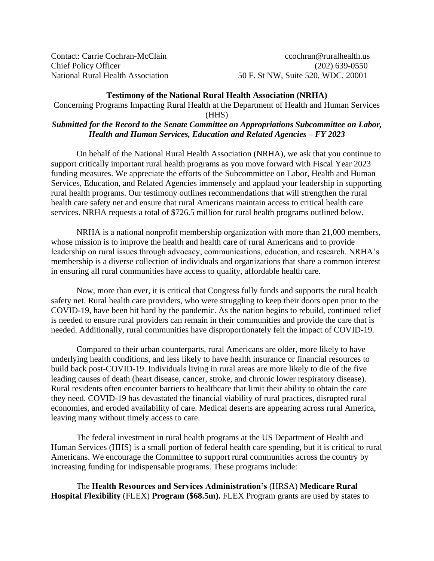Contact: Carrie Cochran-McClain ccochran@ruralhealth.us Chief Policy Officer (202) 639-0550 National Rural Health Association 50 F. St NW, Suite 520, WDC, 20001

## **Testimony of the National Rural Health Association (NRHA)**

Concerning Programs Impacting Rural Health at the Department of Health and Human Services

(HHS)

## *Submitted for the Record to the Senate Committee on Appropriations Subcommittee on Labor, Health and Human Services, Education and Related Agencies – FY 2023*

On behalf of the National Rural Health Association (NRHA), we ask that you continue to support critically important rural health programs as you move forward with Fiscal Year 2023 funding measures. We appreciate the efforts of the Subcommittee on Labor, Health and Human Services, Education, and Related Agencies immensely and applaud your leadership in supporting rural health programs. Our testimony outlines recommendations that will strengthen the rural health care safety net and ensure that rural Americans maintain access to critical health care services. NRHA requests a total of \$726.5 million for rural health programs outlined below.

NRHA is a national nonprofit membership organization with more than 21,000 members, whose mission is to improve the health and health care of rural Americans and to provide leadership on rural issues through advocacy, communications, education, and research. NRHA's membership is a diverse collection of individuals and organizations that share a common interest in ensuring all rural communities have access to quality, affordable health care.

Now, more than ever, it is critical that Congress fully funds and supports the rural health safety net. Rural health care providers, who were struggling to keep their doors open prior to the COVID-19, have been hit hard by the pandemic. As the nation begins to rebuild, continued relief is needed to ensure rural providers can remain in their communities and provide the care that is needed. Additionally, rural communities have disproportionately felt the impact of COVID-19.

Compared to their urban counterparts, rural Americans are older, more likely to have underlying health conditions, and less likely to have health insurance or financial resources to build back post-COVID-19. Individuals living in rural areas are more likely to die of the five leading causes of death (heart disease, cancer, stroke, and chronic lower respiratory disease). Rural residents often encounter barriers to healthcare that limit their ability to obtain the care they need. COVID-19 has devastated the financial viability of rural practices, disrupted rural economies, and eroded availability of care. Medical deserts are appearing across rural America, leaving many without timely access to care.

The federal investment in rural health programs at the US Department of Health and Human Services (HHS) is a small portion of federal health care spending, but it is critical to rural Americans. We encourage the Committee to support rural communities across the country by increasing funding for indispensable programs. These programs include:

The **Health Resources and Services Administration's** (HRSA) **Medicare Rural Hospital Flexibility** (FLEX) **Program (\$68.5m).** FLEX Program grants are used by states to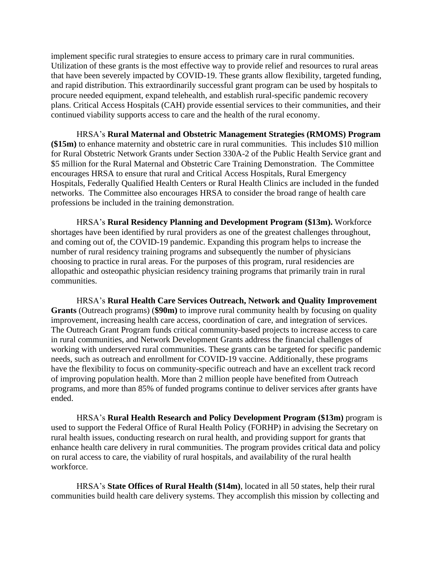implement specific rural strategies to ensure access to primary care in rural communities. Utilization of these grants is the most effective way to provide relief and resources to rural areas that have been severely impacted by COVID-19. These grants allow flexibility, targeted funding, and rapid distribution. This extraordinarily successful grant program can be used by hospitals to procure needed equipment, expand telehealth, and establish rural-specific pandemic recovery plans. Critical Access Hospitals (CAH) provide essential services to their communities, and their continued viability supports access to care and the health of the rural economy.

HRSA's **Rural Maternal and Obstetric Management Strategies (RMOMS) Program (\$15m)** to enhance maternity and obstetric care in rural communities. This includes \$10 million for Rural Obstetric Network Grants under Section 330A-2 of the Public Health Service grant and \$5 million for the Rural Maternal and Obstetric Care Training Demonstration. The Committee encourages HRSA to ensure that rural and Critical Access Hospitals, Rural Emergency Hospitals, Federally Qualified Health Centers or Rural Health Clinics are included in the funded networks. The Committee also encourages HRSA to consider the broad range of health care professions be included in the training demonstration.

HRSA's **Rural Residency Planning and Development Program (\$13m).** Workforce shortages have been identified by rural providers as one of the greatest challenges throughout, and coming out of, the COVID-19 pandemic. Expanding this program helps to increase the number of rural residency training programs and subsequently the number of physicians choosing to practice in rural areas. For the purposes of this program, rural residencies are allopathic and osteopathic physician residency training programs that primarily train in rural communities.

HRSA's **Rural Health Care Services Outreach, Network and Quality Improvement Grants** (Outreach programs) (**\$90m)** to improve rural community health by focusing on quality improvement, increasing health care access, coordination of care, and integration of services. The Outreach Grant Program funds critical community-based projects to increase access to care in rural communities, and Network Development Grants address the financial challenges of working with underserved rural communities. These grants can be targeted for specific pandemic needs, such as outreach and enrollment for COVID-19 vaccine. Additionally, these programs have the flexibility to focus on community-specific outreach and have an excellent track record of improving population health. More than 2 million people have benefited from Outreach programs, and more than 85% of funded programs continue to deliver services after grants have ended.

HRSA's **Rural Health Research and Policy Development Program (\$13m)** program is used to support the Federal Office of Rural Health Policy (FORHP) in advising the Secretary on rural health issues, conducting research on rural health, and providing support for grants that enhance health care delivery in rural communities. The program provides critical data and policy on rural access to care, the viability of rural hospitals, and availability of the rural health workforce.

HRSA's **State Offices of Rural Health (\$14m)**, located in all 50 states, help their rural communities build health care delivery systems. They accomplish this mission by collecting and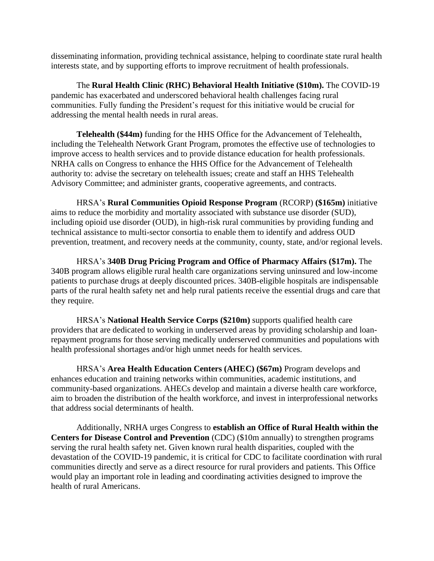disseminating information, providing technical assistance, helping to coordinate state rural health interests state, and by supporting efforts to improve recruitment of health professionals.

The **Rural Health Clinic (RHC) Behavioral Health Initiative (\$10m).** The COVID-19 pandemic has exacerbated and underscored behavioral health challenges facing rural communities. Fully funding the President's request for this initiative would be crucial for addressing the mental health needs in rural areas.

**Telehealth (\$44m)** funding for the HHS Office for the Advancement of Telehealth, including the Telehealth Network Grant Program, promotes the effective use of technologies to improve access to health services and to provide distance education for health professionals. NRHA calls on Congress to enhance the HHS Office for the Advancement of Telehealth authority to: advise the secretary on telehealth issues; create and staff an HHS Telehealth Advisory Committee; and administer grants, cooperative agreements, and contracts.

HRSA's **Rural Communities Opioid Response Program** (RCORP) **(\$165m)** initiative aims to reduce the morbidity and mortality associated with substance use disorder (SUD), including opioid use disorder (OUD), in high-risk rural communities by providing funding and technical assistance to multi-sector consortia to enable them to identify and address OUD prevention, treatment, and recovery needs at the community, county, state, and/or regional levels.

HRSA's **340B Drug Pricing Program and Office of Pharmacy Affairs (\$17m).** The 340B program allows eligible rural health care organizations serving uninsured and low-income patients to purchase drugs at deeply discounted prices. 340B-eligible hospitals are indispensable parts of the rural health safety net and help rural patients receive the essential drugs and care that they require.

HRSA's **National Health Service Corps (\$210m)** supports qualified health care providers that are dedicated to working in underserved areas by providing scholarship and loanrepayment programs for those serving medically underserved communities and populations with health professional shortages and/or high unmet needs for health services.

HRSA's **Area Health Education Centers (AHEC) (\$67m)** Program develops and enhances education and training networks within communities, academic institutions, and community-based organizations. AHECs develop and maintain a diverse health care workforce, aim to broaden the distribution of the health workforce, and invest in interprofessional networks that address social determinants of health.

Additionally, NRHA urges Congress to **establish an Office of Rural Health within the Centers for Disease Control and Prevention** (CDC) (\$10m annually) to strengthen programs serving the rural health safety net. Given known rural health disparities, coupled with the devastation of the COVID-19 pandemic, it is critical for CDC to facilitate coordination with rural communities directly and serve as a direct resource for rural providers and patients. This Office would play an important role in leading and coordinating activities designed to improve the health of rural Americans.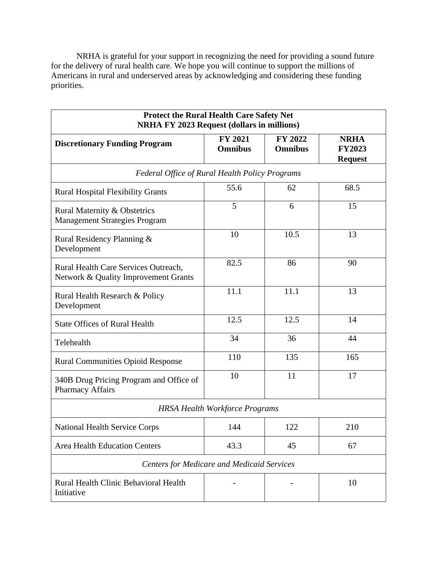NRHA is grateful for your support in recognizing the need for providing a sound future for the delivery of rural health care. We hope you will continue to support the millions of Americans in rural and underserved areas by acknowledging and considering these funding priorities.

| <b>Protect the Rural Health Care Safety Net</b><br><b>NRHA FY 2023 Request (dollars in millions)</b> |                                       |                           |                                                |  |
|------------------------------------------------------------------------------------------------------|---------------------------------------|---------------------------|------------------------------------------------|--|
| <b>Discretionary Funding Program</b>                                                                 | <b>FY 2021</b><br><b>Omnibus</b>      | FY 2022<br><b>Omnibus</b> | <b>NRHA</b><br><b>FY2023</b><br><b>Request</b> |  |
| <b>Federal Office of Rural Health Policy Programs</b>                                                |                                       |                           |                                                |  |
| <b>Rural Hospital Flexibility Grants</b>                                                             | 55.6                                  | 62                        | 68.5                                           |  |
| Rural Maternity & Obstetrics<br><b>Management Strategies Program</b>                                 | 5                                     | 6                         | 15                                             |  |
| Rural Residency Planning &<br>Development                                                            | 10                                    | 10.5                      | 13                                             |  |
| Rural Health Care Services Outreach,<br>Network & Quality Improvement Grants                         | 82.5                                  | 86                        | 90                                             |  |
| Rural Health Research & Policy<br>Development                                                        | 11.1                                  | 11.1                      | 13                                             |  |
| <b>State Offices of Rural Health</b>                                                                 | 12.5                                  | 12.5                      | 14                                             |  |
| Telehealth                                                                                           | 34                                    | 36                        | 44                                             |  |
| <b>Rural Communities Opioid Response</b>                                                             | 110                                   | 135                       | 165                                            |  |
| 340B Drug Pricing Program and Office of<br><b>Pharmacy Affairs</b>                                   | 10                                    | 11                        | 17                                             |  |
|                                                                                                      | <b>HRSA Health Workforce Programs</b> |                           |                                                |  |
| <b>National Health Service Corps</b>                                                                 | 144                                   | 122                       | 210                                            |  |
| <b>Area Health Education Centers</b>                                                                 | 43.3                                  | 45                        | 67                                             |  |
| <b>Centers for Medicare and Medicaid Services</b>                                                    |                                       |                           |                                                |  |
| Rural Health Clinic Behavioral Health<br>Initiative                                                  |                                       |                           | 10                                             |  |